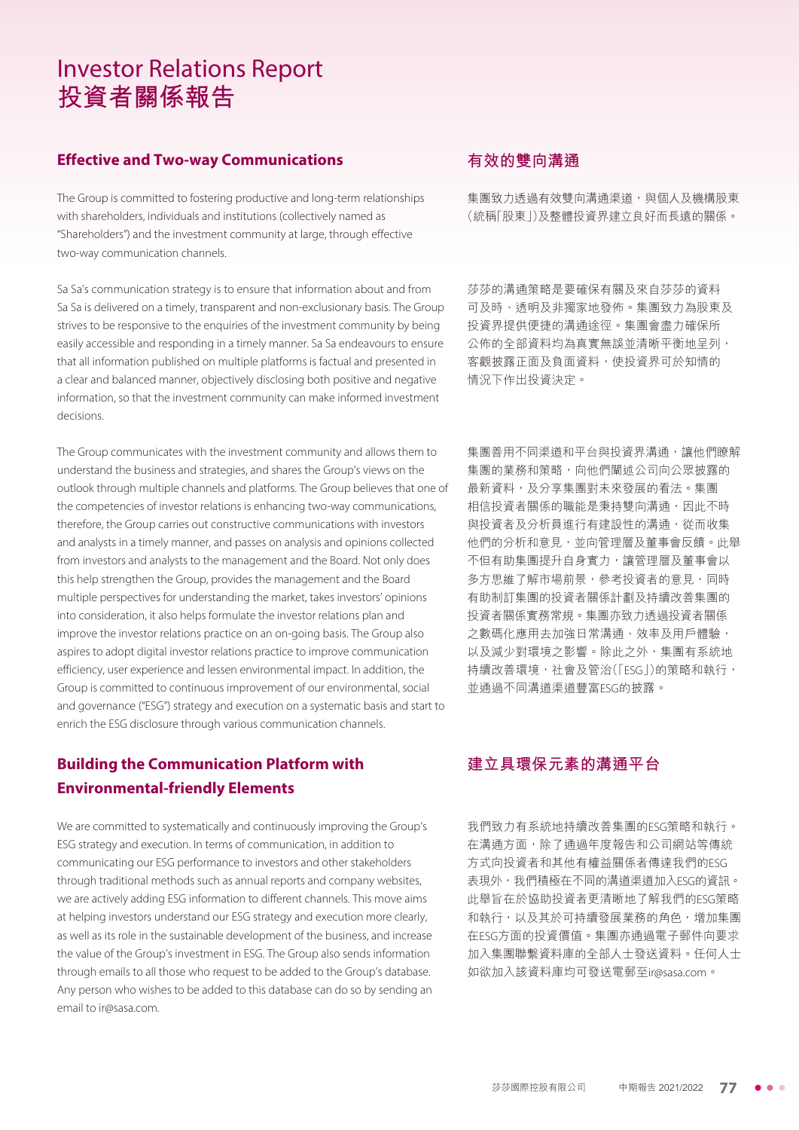# Investor Relations Report **投資者關係報告**

### **Effective and Two-way Communications**

The Group is committed to fostering productive and long-term relationships with shareholders, individuals and institutions (collectively named as "Shareholders") and the investment community at large, through effective two-way communication channels.

Sa Sa's communication strategy is to ensure that information about and from Sa Sa is delivered on a timely, transparent and non-exclusionary basis. The Group strives to be responsive to the enquiries of the investment community by being easily accessible and responding in a timely manner. Sa Sa endeavours to ensure that all information published on multiple platforms is factual and presented in a clear and balanced manner, objectively disclosing both positive and negative information, so that the investment community can make informed investment decisions.

The Group communicates with the investment community and allows them to understand the business and strategies, and shares the Group's views on the outlook through multiple channels and platforms. The Group believes that one of the competencies of investor relations is enhancing two-way communications, therefore, the Group carries out constructive communications with investors and analysts in a timely manner, and passes on analysis and opinions collected from investors and analysts to the management and the Board. Not only does this help strengthen the Group, provides the management and the Board multiple perspectives for understanding the market, takes investors' opinions into consideration, it also helps formulate the investor relations plan and improve the investor relations practice on an on-going basis. The Group also aspires to adopt digital investor relations practice to improve communication efficiency, user experience and lessen environmental impact. In addition, the Group is committed to continuous improvement of our environmental, social and governance ("ESG") strategy and execution on a systematic basis and start to enrich the ESG disclosure through various communication channels.

# **Building the Communication Platform with Environmental-friendly Elements**

We are committed to systematically and continuously improving the Group's ESG strategy and execution. In terms of communication, in addition to communicating our ESG performance to investors and other stakeholders through traditional methods such as annual reports and company websites, we are actively adding ESG information to different channels. This move aims at helping investors understand our ESG strategy and execution more clearly, as well as its role in the sustainable development of the business, and increase the value of the Group's investment in ESG. The Group also sends information through emails to all those who request to be added to the Group's database. Any person who wishes to be added to this database can do so by sending an email to ir@sasa.com.

# **有效的雙向溝通**

集團致力透過有效雙向溝通渠道,與個人及機構股東 (統稱「股東」)及整體投資界建立良好而長遠的關係。

莎莎的溝通策略是要確保有關及來自莎莎的資料 可及時、透明及非獨家地發佈。集團致力為股東及 投資界提供便捷的溝通途徑。集團會盡力確保所 公佈的全部資料均為真實無誤並清晰平衡地呈列, 客觀披露正面及負面資料,使投資界可於知情的 情況下作出投資決定。

集團善用不同渠道和平台與投資界溝通,讓他們瞭解 集團的業務和策略,向他們闡述公司向公眾披露的 最新資料,及分享集團對未來發展的看法。集團 相信投資者關係的職能是秉持雙向溝通,因此不時 與投資者及分析員進行有建設性的溝通,從而收集 他們的分析和意見,並向管理層及董事會反饋。此舉 不但有助集團提升自身實力,讓管理層及董事會以 多方思維了解市場前景,參考投資者的意見,同時 有助制訂集團的投資者關係計劃及持續改善集團的 投資者關係實務常規。集團亦致力透過投資者關係 之數碼化應用去加強日常溝通、效率及用戶體驗, 以及減少對環境之影響。除此之外,集團有系統地 持續改善環境,社會及管治(「ESG」)的策略和執行, 並通過不同溝道渠道豐富ESG的披露。

# **建立具環保元素的溝通平台**

我們致力有系統地持續改善集團的ESG策略和執行。 在溝通方面,除了通過年度報告和公司網站等傳統 方式向投資者和其他有權益關係者傳達我們的ESG 表現外,我們積極在不同的溝道渠道加入ESG的資訊。 此舉旨在於協助投資者更清晰地了解我們的ESG策略 和執行,以及其於可持續發展業務的角色,增加集團 在ESG方面的投資價值。集團亦通過電子郵件向要求 加入集團聯繫資料庫的全部人士發送資料。任何人士 如欲加入該資料庫均可發送電郵至ir@sasa.com。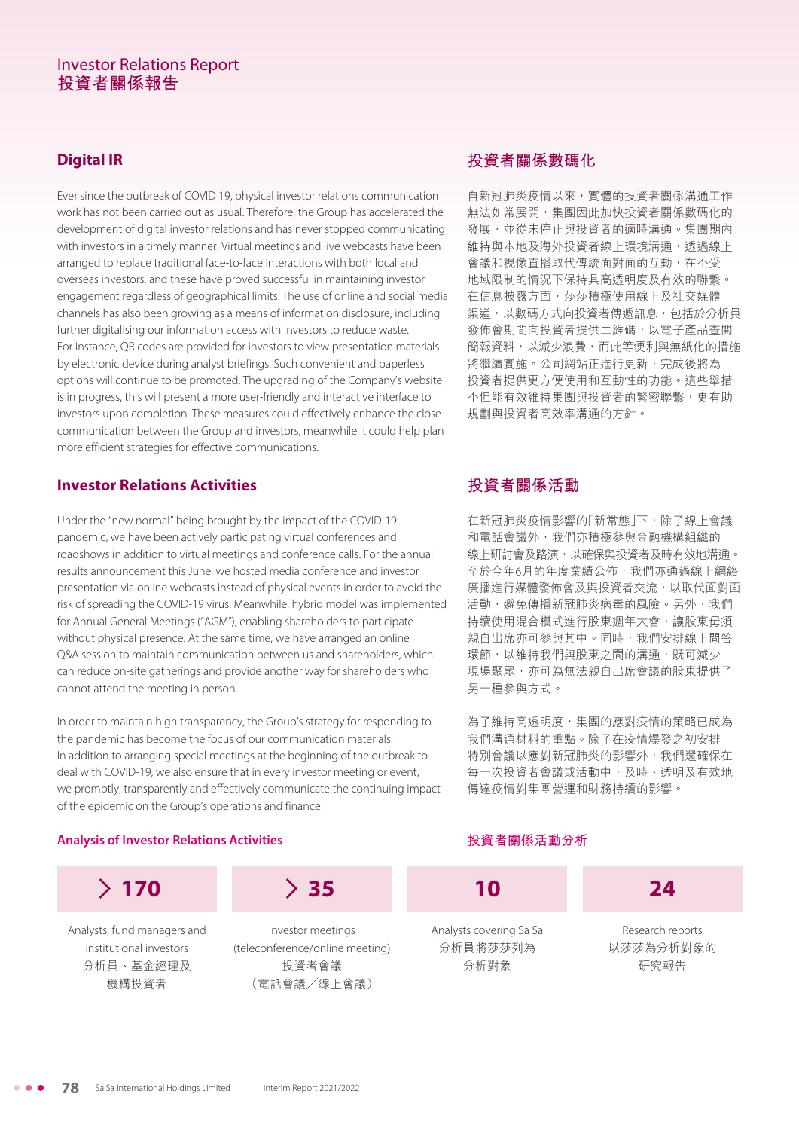## Investor Relations Report **投資者關係報告**

# **Digital IR**

Ever since the outbreak of COVID 19, physical investor relations communication work has not been carried out as usual. Therefore, the Group has accelerated the development of digital investor relations and has never stopped communicating with investors in a timely manner. Virtual meetings and live webcasts have been arranged to replace traditional face-to-face interactions with both local and overseas investors, and these have proved successful in maintaining investor engagement regardless of geographical limits. The use of online and social media channels has also been growing as a means of information disclosure, including further digitalising our information access with investors to reduce waste. For instance, QR codes are provided for investors to view presentation materials by electronic device during analyst briefings. Such convenient and paperless options will continue to be promoted. The upgrading of the Company's website is in progress, this will present a more user-friendly and interactive interface to investors upon completion. These measures could effectively enhance the close communication between the Group and investors, meanwhile it could help plan more efficient strategies for effective communications.

### **Investor Relations Activities**

Under the "new normal" being brought by the impact of the COVID-19 pandemic, we have been actively participating virtual conferences and roadshows in addition to virtual meetings and conference calls. For the annual results announcement this June, we hosted media conference and investor presentation via online webcasts instead of physical events in order to avoid the risk of spreading the COVID-19 virus. Meanwhile, hybrid model was implemented for Annual General Meetings ("AGM"), enabling shareholders to participate without physical presence. At the same time, we have arranged an online Q&A session to maintain communication between us and shareholders, which can reduce on-site gatherings and provide another way for shareholders who cannot attend the meeting in person.

In order to maintain high transparency, the Group's strategy for responding to the pandemic has become the focus of our communication materials. In addition to arranging special meetings at the beginning of the outbreak to deal with COVID-19, we also ensure that in every investor meeting or event, we promptly, transparently and effectively communicate the continuing impact of the epidemic on the Group's operations and finance.

#### **Analysis of Investor Relations Activities**

# **投資者關係數碼化**

自新冠肺炎疫情以來,實體的投資者關係溝通工作 無法如常展開,集團因此加快投資者關係數碼化的 發展,並從未停止與投資者的適時溝通。集團期內 維持與本地及海外投資者線上環境溝通,透過線上 會議和視像直播取代傳統面對面的互動,在不受 地域限制的情況下保持具高透明度及有效的聯繫。 在信息披露方面,莎莎積極使用線上及社交媒體 渠道,以數碼方式向投資者傳遞訊息,包括於分析員 發佈會期間向投資者提供二維碼,以電子產品查閲 簡報資料,以減少浪費,而此等便利與無紙化的措施 將繼續實施。公司網站正進行更新,完成後將為 投資者提供更方便使用和互動性的功能。這些舉措 不但能有效維持集團與投資者的緊密聯繫,更有助 規劃與投資者高效率溝通的方針。

# **投資者關係活動**

在新冠肺炎疫情影響的「新常態」下,除了線上會議 和電話會議外,我們亦積極參與金融機構組織的 線上研討會及路演,以確保與投資者及時有效地溝通。 至於今年6月的年度業績公佈,我們亦通過線上網絡 廣播進行媒體發佈會及與投資者交流,以取代面對面 活動,避免傳播新冠肺炎病毒的風險。另外,我們 持續使用混合模式進行股東週年大會,讓股東毋須 親自出席亦可參與其中。同時,我們安排線上問答 環節,以維持我們與股東之間的溝通,既可減少 現場聚眾,亦可為無法親自出席會議的股東提供了 另一種參與方式。

為了維持高透明度,集團的應對疫情的策略已成為 我們溝通材料的重點。除了在疫情爆發之初安排 特別會議以應對新冠肺炎的影響外,我們還確保在 每一次投資者會議或活動中,及時、透明及有效地 傳達疫情對集團營運和財務持續的影響。

#### **投資者關係活動分析**

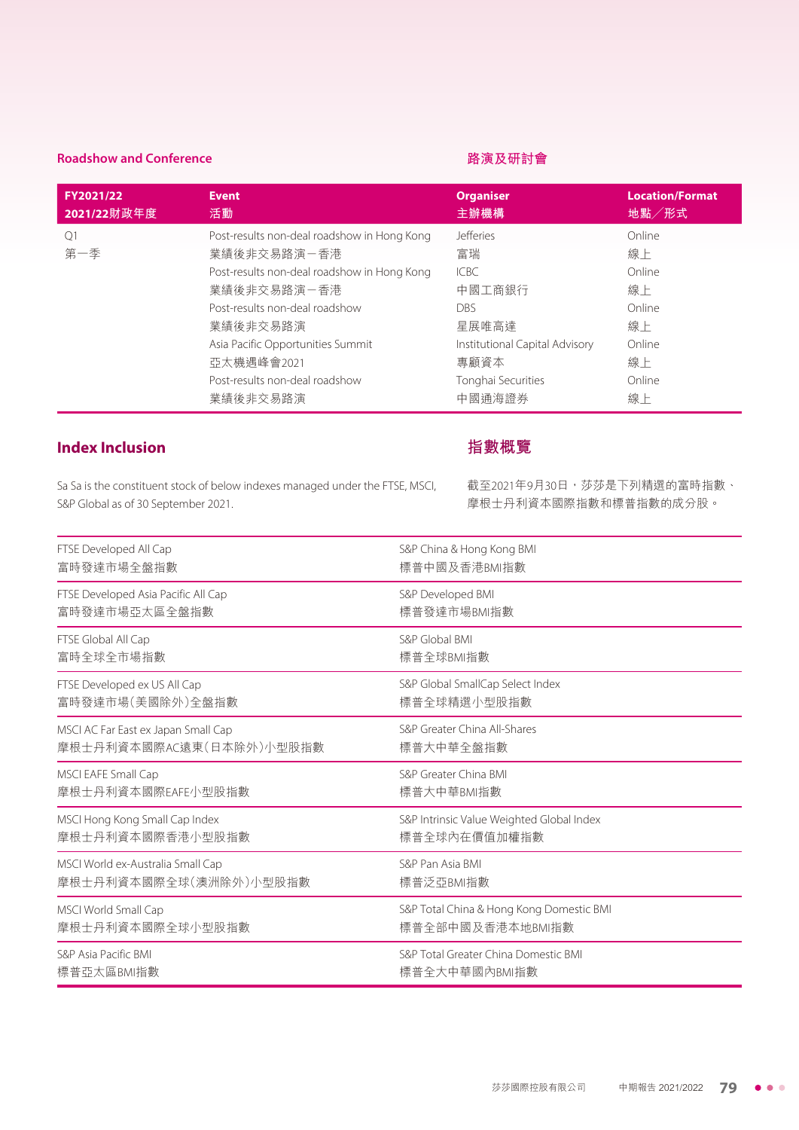#### **Roadshow and Conference**

#### **路演及研討會**

| FY2021/22             | <b>Event</b>                                                                                                                                                                                                                                                            | <b>Organiser</b>                                                                                                                                 | <b>Location/Format</b>                                                       |
|-----------------------|-------------------------------------------------------------------------------------------------------------------------------------------------------------------------------------------------------------------------------------------------------------------------|--------------------------------------------------------------------------------------------------------------------------------------------------|------------------------------------------------------------------------------|
| 2021/22財政年度           | 活動                                                                                                                                                                                                                                                                      | 主辦機構                                                                                                                                             | 地點/形式                                                                        |
| O <sub>1</sub><br>第一季 | Post-results non-deal roadshow in Hong Kong<br>業績後非交易路演-香港<br>Post-results non-deal roadshow in Hong Kong<br>業績後非交易路演-香港<br>Post-results non-deal roadshow<br>業績後非交易路演<br>Asia Pacific Opportunities Summit<br>亞太機遇峰會2021<br>Post-results non-deal roadshow<br>業績後非交易路演 | <b>Jefferies</b><br>富瑞<br><b>ICBC</b><br>中國工商銀行<br><b>DBS</b><br>星展唯高達<br>Institutional Capital Advisory<br>專顧資本<br>Tonghai Securities<br>中國通海證券 | Online<br>線上<br>Online<br>線上<br>Online<br>線上<br>Online<br>線上<br>Online<br>線上 |

## **Index Inclusion**

Sa Sa is the constituent stock of below indexes managed under the FTSE, MSCI, S&P Global as of 30 September 2021.

### **指數概覽**

截至2021年9月30日,莎莎是下列精選的富時指數、 摩根士丹利資本國際指數和標普指數的成分股。

| FTSE Developed All Cap              | S&P China & Hong Kong BMI                 |
|-------------------------------------|-------------------------------------------|
| 富時發達市場全盤指數                          | 標普中國及香港BMI指數                              |
| FTSE Developed Asia Pacific All Cap | S&P Developed BMI                         |
| 富時發達市場亞太區全盤指數                       | 標普發達市場BMI指數                               |
| FTSE Global All Cap                 | S&P Global BMI                            |
| 富時全球全市場指數                           | 標普全球BMI指數                                 |
| FTSE Developed ex US All Cap        | S&P Global SmallCap Select Index          |
| 富時發達市場(美國除外)全盤指數                    | 標普全球精選小型股指數                               |
| MSCI AC Far East ex Japan Small Cap | S&P Greater China All-Shares              |
| 摩根士丹利資本國際AC遠東(日本除外)小型股指數            | 標普大中華全盤指數                                 |
| MSCI EAFE Small Cap                 | S&P Greater China BMI                     |
| 摩根士丹利資本國際EAFE小型股指數                  | 標普大中華BMI指數                                |
| MSCI Hong Kong Small Cap Index      | S&P Intrinsic Value Weighted Global Index |
| 摩根士丹利資本國際香港小型股指數                    | 標普全球內在價值加權指數                              |
| MSCI World ex-Australia Small Cap   | S&P Pan Asia BMI                          |
| 摩根士丹利資本國際全球(澳洲除外)小型股指數              | 標普泛亞BMI指數                                 |
| MSCI World Small Cap                | S&P Total China & Hong Kong Domestic BMI  |
| 摩根士丹利資本國際全球小型股指數                    | 標普全部中國及香港本地BMI指數                          |
| S&P Asia Pacific BMI                | S&P Total Greater China Domestic BMI      |
| 標普亞太區BMI指數                          | 標普全大中華國內BMI指數                             |